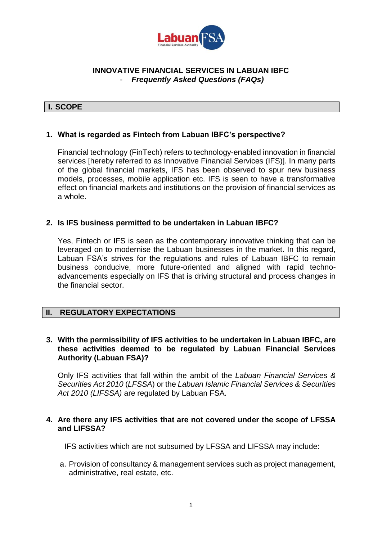

### **INNOVATIVE FINANCIAL SERVICES IN LABUAN IBFC** - *Frequently Asked Questions (FAQs)*

### **I. SCOPE**

## **1. What is regarded as Fintech from Labuan IBFC's perspective?**

Financial technology (FinTech) refers to technology-enabled innovation in financial services [hereby referred to as Innovative Financial Services (IFS)]. In many parts of the global financial markets, IFS has been observed to spur new business models, processes, mobile application etc. IFS is seen to have a transformative effect on financial markets and institutions on the provision of financial services as a whole.

### **2. Is IFS business permitted to be undertaken in Labuan IBFC?**

Yes, Fintech or IFS is seen as the contemporary innovative thinking that can be leveraged on to modernise the Labuan businesses in the market. In this regard, Labuan FSA's strives for the regulations and rules of Labuan IBFC to remain business conducive, more future-oriented and aligned with rapid technoadvancements especially on IFS that is driving structural and process changes in the financial sector.

# **II. REGULATORY EXPECTATIONS**

### **3. With the permissibility of IFS activities to be undertaken in Labuan IBFC, are these activities deemed to be regulated by Labuan Financial Services Authority (Labuan FSA)?**

Only IFS activities that fall within the ambit of the *Labuan Financial Services & Securities Act 2010* (*LFSSA*) or the *Labuan Islamic Financial Services & Securities Act 2010 (LIFSSA)* are regulated by Labuan FSA*.* 

### **4. Are there any IFS activities that are not covered under the scope of LFSSA and LIFSSA?**

IFS activities which are not subsumed by LFSSA and LIFSSA may include:

a. Provision of consultancy & management services such as project management, administrative, real estate, etc.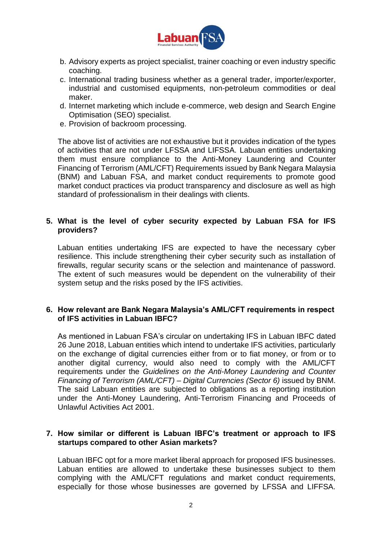

- b. Advisory experts as project specialist, trainer coaching or even industry specific coaching.
- c. International trading business whether as a general trader, importer/exporter, industrial and customised equipments, non-petroleum commodities or deal maker.
- d. Internet marketing which include e-commerce, web design and Search Engine Optimisation (SEO) specialist.
- e. Provision of backroom processing.

The above list of activities are not exhaustive but it provides indication of the types of activities that are not under LFSSA and LIFSSA. Labuan entities undertaking them must ensure compliance to the Anti-Money Laundering and Counter Financing of Terrorism (AML/CFT) Requirements issued by Bank Negara Malaysia (BNM) and Labuan FSA, and market conduct requirements to promote good market conduct practices via product transparency and disclosure as well as high standard of professionalism in their dealings with clients.

### **5. What is the level of cyber security expected by Labuan FSA for IFS providers?**

Labuan entities undertaking IFS are expected to have the necessary cyber resilience. This include strengthening their cyber security such as installation of firewalls, regular security scans or the selection and maintenance of password. The extent of such measures would be dependent on the vulnerability of their system setup and the risks posed by the IFS activities.

### **6. How relevant are Bank Negara Malaysia's AML/CFT requirements in respect of IFS activities in Labuan IBFC?**

As mentioned in Labuan FSA's circular on undertaking IFS in Labuan IBFC dated 26 June 2018, Labuan entities which intend to undertake IFS activities, particularly on the exchange of digital currencies either from or to fiat money, or from or to another digital currency, would also need to comply with the AML/CFT requirements under the *Guidelines on the Anti-Money Laundering and Counter Financing of Terrorism (AML/CFT) – Digital Currencies (Sector 6)* issued by BNM. The said Labuan entities are subjected to obligations as a reporting institution under the Anti-Money Laundering, Anti-Terrorism Financing and Proceeds of Unlawful Activities Act 2001.

## **7. How similar or different is Labuan IBFC's treatment or approach to IFS startups compared to other Asian markets?**

Labuan IBFC opt for a more market liberal approach for proposed IFS businesses. Labuan entities are allowed to undertake these businesses subject to them complying with the AML/CFT regulations and market conduct requirements, especially for those whose businesses are governed by LFSSA and LIFFSA.